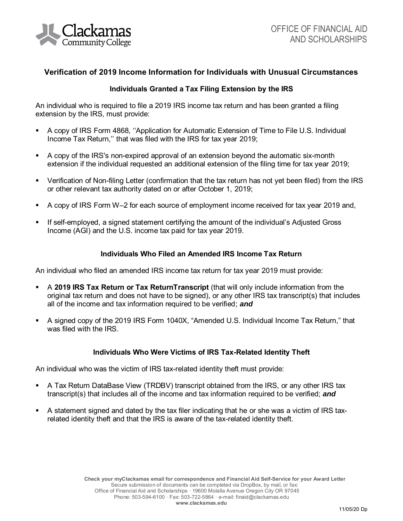

# **Verification of 2019 Income Information for Individuals with Unusual Circumstances**

## **Individuals Granted a Tax Filing Extension by the IRS**

An individual who is required to file a 2019 IRS income tax return and has been granted a filing extension by the IRS, must provide:

- A copy of IRS Form 4868, ''Application for Automatic Extension of Time to File U.S. Individual Income Tax Return,'' that was filed with the IRS for tax year 2019;
- A copy of the IRS's non-expired approval of an extension beyond the automatic six-month extension if the individual requested an additional extension of the filing time for tax year 2019;
- Verification of Non-filing Letter (confirmation that the tax return has not yet been filed) from the IRS or other relevant tax authority dated on or after October 1, 2019;
- A copy of IRS Form W–2 for each source of employment income received for tax year 2019 and,
- If self-employed, a signed statement certifying the amount of the individual's Adjusted Gross Income (AGI) and the U.S. income tax paid for tax year 2019.

### **Individuals Who Filed an Amended IRS Income Tax Return**

An individual who filed an amended IRS income tax return for tax year 2019 must provide:

- A **2019 IRS Tax Return or Tax ReturnTranscript** (that will only include information from the original tax return and does not have to be signed), or any other IRS tax transcript(s) that includes all of the income and tax information required to be verified; *and*
- A signed copy of the 2019 IRS Form 1040X, "Amended U.S. Individual Income Tax Return," that was filed with the IRS.

### **Individuals Who Were Victims of IRS Tax-Related Identity Theft**

An individual who was the victim of IRS tax-related identity theft must provide:

- A Tax Return DataBase View (TRDBV) transcript obtained from the IRS, or any other IRS tax transcript(s) that includes all of the income and tax information required to be verified; *and*
- A statement signed and dated by the tax filer indicating that he or she was a victim of IRS taxrelated identity theft and that the IRS is aware of the tax-related identity theft.